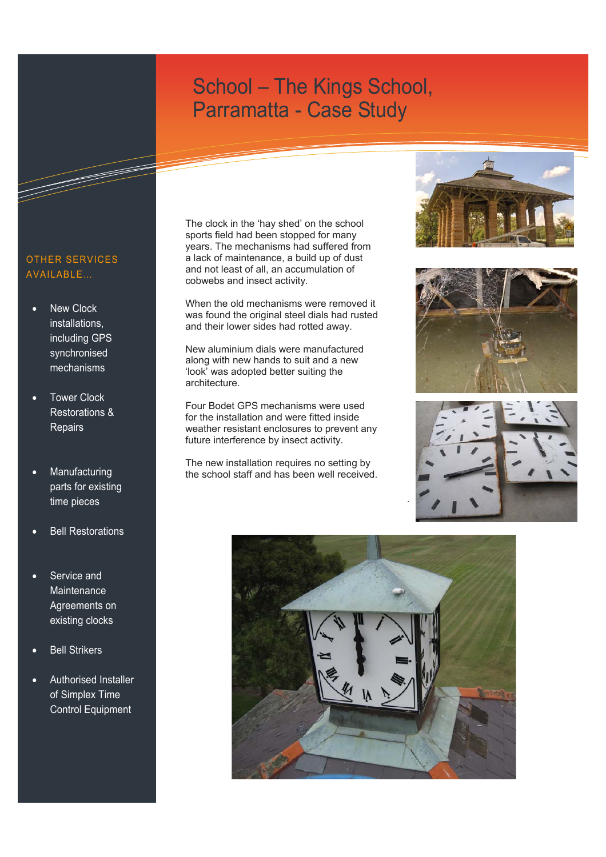### Approached by the congregation of Our Lady of Lourdes RC church in Wauchope, we were asked to undertake the restoration and automation of the contemporary steel tower for hand support in a contemporary steel tower for hand swinging. In a contemporary steel tower for  $\sim$ Parramatta - Case Study

#### OTHER SERVICES AVAILABLE…

- **New Clock** installations, including GPS synchronised mechanisms
- Tower Clock Restorations & **Repairs**
- **Manufacturing** parts for existing time pieces
- **Bell Restorations**
- Service and **Maintenance** Agreements on existing clocks
- **Bell Strikers**
- Authorised Installer of Simplex Time Control Equipment

The clock in the 'hay shed' on the school sports field had been stopped for many years. The mechanisms had suffered from a lack of maintenance, a build up of dust and not least of all, an accumulation of cobwebs and insect activity.

When the old mechanisms were removed it was found the original steel dials had rusted and their lower sides had rotted away.

New aluminium dials were manufactured along with new hands to suit and a new 'look' was adopted better suiting the architecture.

Four Bodet GPS mechanisms were used for the installation and were fitted inside weather resistant enclosures to prevent any future interference by insect activity.

The new installation requires no setting by the school staff and has been well received.









.